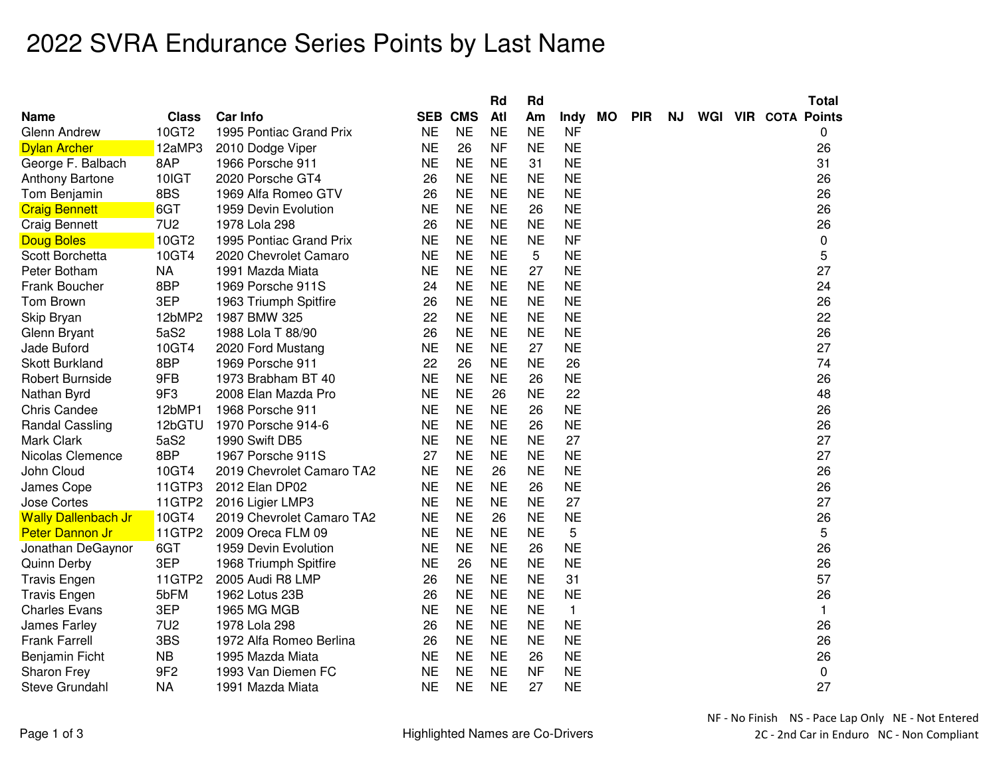## 2022 SVRA Endurance Series Points by Last Name

|                            |                 |                           |           |                | Rd        | Rd        |              |    |            |     |  | <b>Total</b>               |
|----------------------------|-----------------|---------------------------|-----------|----------------|-----------|-----------|--------------|----|------------|-----|--|----------------------------|
| <b>Name</b>                | <b>Class</b>    | <b>Car Info</b>           |           | <b>SEB CMS</b> | Atl       | Am        | Indy         | МO | <b>PIR</b> | NJ. |  | <b>WGI VIR COTA Points</b> |
| <b>Glenn Andrew</b>        | 10GT2           | 1995 Pontiac Grand Prix   | <b>NE</b> | <b>NE</b>      | <b>NE</b> | <b>NE</b> | <b>NF</b>    |    |            |     |  | 0                          |
| <b>Dylan Archer</b>        | 12aMP3          | 2010 Dodge Viper          | <b>NE</b> | 26             | <b>NF</b> | <b>NE</b> | <b>NE</b>    |    |            |     |  | 26                         |
| George F. Balbach          | 8AP             | 1966 Porsche 911          | ΝE        | <b>NE</b>      | <b>NE</b> | 31        | <b>NE</b>    |    |            |     |  | 31                         |
| <b>Anthony Bartone</b>     | 10IGT           | 2020 Porsche GT4          | 26        | <b>NE</b>      | <b>NE</b> | <b>NE</b> | <b>NE</b>    |    |            |     |  | 26                         |
| Tom Benjamin               | 8BS             | 1969 Alfa Romeo GTV       | 26        | <b>NE</b>      | <b>NE</b> | <b>NE</b> | <b>NE</b>    |    |            |     |  | 26                         |
| <b>Craig Bennett</b>       | 6GT             | 1959 Devin Evolution      | <b>NE</b> | <b>NE</b>      | <b>NE</b> | 26        | <b>NE</b>    |    |            |     |  | 26                         |
| <b>Craig Bennett</b>       | <b>7U2</b>      | 1978 Lola 298             | 26        | <b>NE</b>      | <b>NE</b> | <b>NE</b> | <b>NE</b>    |    |            |     |  | 26                         |
| <b>Doug Boles</b>          | 10GT2           | 1995 Pontiac Grand Prix   | <b>NE</b> | <b>NE</b>      | <b>NE</b> | <b>NE</b> | <b>NF</b>    |    |            |     |  | 0                          |
| Scott Borchetta            | 10GT4           | 2020 Chevrolet Camaro     | <b>NE</b> | <b>NE</b>      | <b>NE</b> | 5         | <b>NE</b>    |    |            |     |  | 5                          |
| Peter Botham               | <b>NA</b>       | 1991 Mazda Miata          | <b>NE</b> | <b>NE</b>      | <b>NE</b> | 27        | <b>NE</b>    |    |            |     |  | 27                         |
| Frank Boucher              | 8BP             | 1969 Porsche 911S         | 24        | <b>NE</b>      | <b>NE</b> | <b>NE</b> | <b>NE</b>    |    |            |     |  | 24                         |
| Tom Brown                  | 3EP             | 1963 Triumph Spitfire     | 26        | <b>NE</b>      | <b>NE</b> | <b>NE</b> | <b>NE</b>    |    |            |     |  | 26                         |
| Skip Bryan                 | 12bMP2          | 1987 BMW 325              | 22        | <b>NE</b>      | <b>NE</b> | <b>NE</b> | <b>NE</b>    |    |            |     |  | 22                         |
| Glenn Bryant               | 5aS2            | 1988 Lola T 88/90         | 26        | <b>NE</b>      | <b>NE</b> | <b>NE</b> | <b>NE</b>    |    |            |     |  | 26                         |
| Jade Buford                | 10GT4           | 2020 Ford Mustang         | <b>NE</b> | <b>NE</b>      | <b>NE</b> | 27        | <b>NE</b>    |    |            |     |  | 27                         |
| <b>Skott Burkland</b>      | 8BP             | 1969 Porsche 911          | 22        | 26             | <b>NE</b> | <b>NE</b> | 26           |    |            |     |  | 74                         |
| <b>Robert Burnside</b>     | 9FB             | 1973 Brabham BT 40        | <b>NE</b> | <b>NE</b>      | <b>NE</b> | 26        | <b>NE</b>    |    |            |     |  | 26                         |
| Nathan Byrd                | 9F3             | 2008 Elan Mazda Pro       | <b>NE</b> | <b>NE</b>      | 26        | <b>NE</b> | 22           |    |            |     |  | 48                         |
| <b>Chris Candee</b>        | 12bMP1          | 1968 Porsche 911          | <b>NE</b> | <b>NE</b>      | <b>NE</b> | 26        | <b>NE</b>    |    |            |     |  | 26                         |
| <b>Randal Cassling</b>     | 12bGTU          | 1970 Porsche 914-6        | <b>NE</b> | <b>NE</b>      | <b>NE</b> | 26        | <b>NE</b>    |    |            |     |  | 26                         |
| Mark Clark                 | 5aS2            | 1990 Swift DB5            | <b>NE</b> | <b>NE</b>      | <b>NE</b> | <b>NE</b> | 27           |    |            |     |  | 27                         |
| Nicolas Clemence           | 8BP             | 1967 Porsche 911S         | 27        | <b>NE</b>      | <b>NE</b> | <b>NE</b> | <b>NE</b>    |    |            |     |  | 27                         |
| John Cloud                 | 10GT4           | 2019 Chevrolet Camaro TA2 | <b>NE</b> | <b>NE</b>      | 26        | <b>NE</b> | <b>NE</b>    |    |            |     |  | 26                         |
| James Cope                 | 11GTP3          | 2012 Elan DP02            | <b>NE</b> | <b>NE</b>      | <b>NE</b> | 26        | <b>NE</b>    |    |            |     |  | 26                         |
| Jose Cortes                | 11GTP2          | 2016 Ligier LMP3          | <b>NE</b> | <b>NE</b>      | <b>NE</b> | <b>NE</b> | 27           |    |            |     |  | 27                         |
| <b>Wally Dallenbach Jr</b> | 10GT4           | 2019 Chevrolet Camaro TA2 | <b>NE</b> | <b>NE</b>      | 26        | <b>NE</b> | <b>NE</b>    |    |            |     |  | 26                         |
| <b>Peter Dannon Jr</b>     | <b>11GTP2</b>   | 2009 Oreca FLM 09         | <b>NE</b> | <b>NE</b>      | <b>NE</b> | <b>NE</b> | 5            |    |            |     |  | 5                          |
| Jonathan DeGaynor          | 6GT             | 1959 Devin Evolution      | <b>NE</b> | <b>NE</b>      | <b>NE</b> | 26        | <b>NE</b>    |    |            |     |  | 26                         |
| Quinn Derby                | 3EP             | 1968 Triumph Spitfire     | <b>NE</b> | 26             | <b>NE</b> | <b>NE</b> | <b>NE</b>    |    |            |     |  | 26                         |
| <b>Travis Engen</b>        | 11GTP2          | 2005 Audi R8 LMP          | 26        | <b>NE</b>      | <b>NE</b> | <b>NE</b> | 31           |    |            |     |  | 57                         |
| <b>Travis Engen</b>        | 5bFM            | 1962 Lotus 23B            | 26        | <b>NE</b>      | <b>NE</b> | <b>NE</b> | <b>NE</b>    |    |            |     |  | 26                         |
| <b>Charles Evans</b>       | 3EP             | 1965 MG MGB               | <b>NE</b> | <b>NE</b>      | <b>NE</b> | <b>NE</b> | $\mathbf{1}$ |    |            |     |  | $\mathbf{1}$               |
| James Farley               | <b>7U2</b>      | 1978 Lola 298             | 26        | <b>NE</b>      | <b>NE</b> | <b>NE</b> | <b>NE</b>    |    |            |     |  | 26                         |
| <b>Frank Farrell</b>       | 3BS             | 1972 Alfa Romeo Berlina   | 26        | <b>NE</b>      | <b>NE</b> | <b>NE</b> | <b>NE</b>    |    |            |     |  | 26                         |
| Benjamin Ficht             | <b>NB</b>       | 1995 Mazda Miata          | ΝE        | <b>NE</b>      | <b>NE</b> | 26        | <b>NE</b>    |    |            |     |  | 26                         |
| Sharon Frey                | 9F <sub>2</sub> | 1993 Van Diemen FC        | <b>NE</b> | <b>NE</b>      | <b>NE</b> | <b>NF</b> | <b>NE</b>    |    |            |     |  | 0                          |
| Steve Grundahl             | <b>NA</b>       | 1991 Mazda Miata          | <b>NE</b> | <b>NE</b>      | <b>NE</b> | 27        | <b>NE</b>    |    |            |     |  | 27                         |
|                            |                 |                           |           |                |           |           |              |    |            |     |  |                            |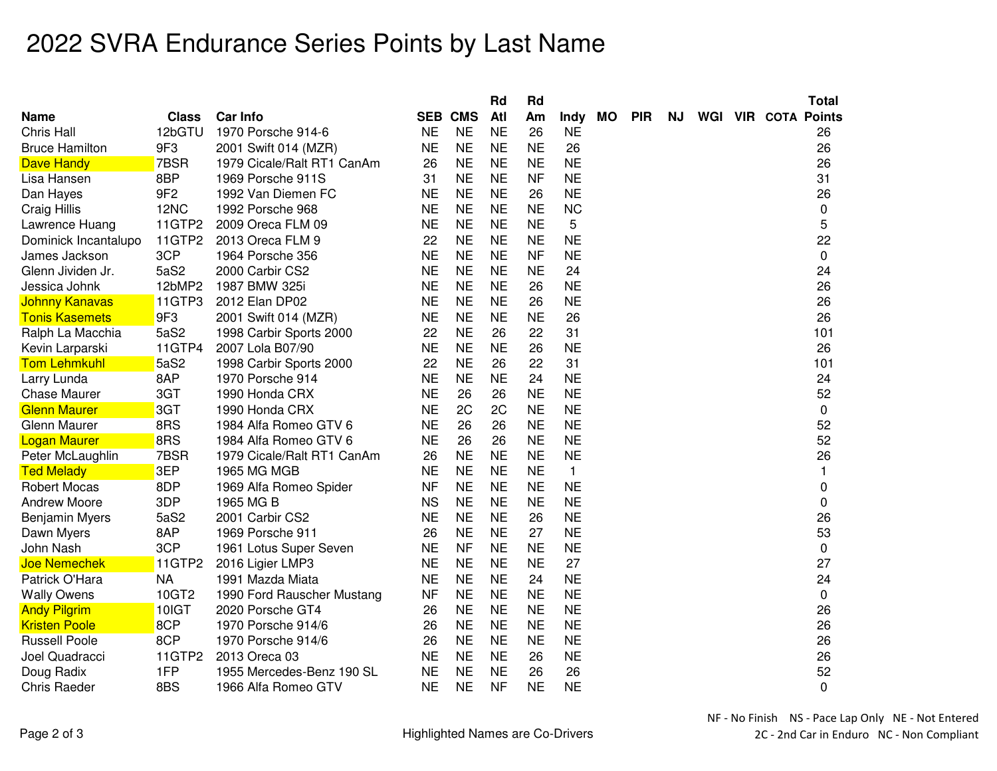## 2022 SVRA Endurance Series Points by Last Name

|                       |                 |                            |           |                | Rd        | Rd        |              |           |            |     |  | Total                      |
|-----------------------|-----------------|----------------------------|-----------|----------------|-----------|-----------|--------------|-----------|------------|-----|--|----------------------------|
| Name                  | <b>Class</b>    | <b>Car Info</b>            |           | <b>SEB CMS</b> | Atl       | Am        | Indy         | <b>MO</b> | <b>PIR</b> | NJ. |  | <b>WGI VIR COTA Points</b> |
| Chris Hall            | 12bGTU          | 1970 Porsche 914-6         | <b>NE</b> | <b>NE</b>      | <b>NE</b> | 26        | <b>NE</b>    |           |            |     |  | 26                         |
| <b>Bruce Hamilton</b> | 9F3             | 2001 Swift 014 (MZR)       | <b>NE</b> | <b>NE</b>      | <b>NE</b> | <b>NE</b> | 26           |           |            |     |  | 26                         |
| <b>Dave Handy</b>     | 7BSR            | 1979 Cicale/Ralt RT1 CanAm | 26        | <b>NE</b>      | <b>NE</b> | <b>NE</b> | <b>NE</b>    |           |            |     |  | 26                         |
| Lisa Hansen           | 8BP             | 1969 Porsche 911S          | 31        | <b>NE</b>      | <b>NE</b> | <b>NF</b> | <b>NE</b>    |           |            |     |  | 31                         |
| Dan Hayes             | 9F <sub>2</sub> | 1992 Van Diemen FC         | <b>NE</b> | <b>NE</b>      | <b>NE</b> | 26        | <b>NE</b>    |           |            |     |  | 26                         |
| Craig Hillis          | 12NC            | 1992 Porsche 968           | <b>NE</b> | <b>NE</b>      | <b>NE</b> | <b>NE</b> | <b>NC</b>    |           |            |     |  | 0                          |
| Lawrence Huang        | 11GTP2          | 2009 Oreca FLM 09          | <b>NE</b> | <b>NE</b>      | <b>NE</b> | <b>NE</b> | 5            |           |            |     |  | 5                          |
| Dominick Incantalupo  | 11GTP2          | 2013 Oreca FLM 9           | 22        | <b>NE</b>      | <b>NE</b> | <b>NE</b> | <b>NE</b>    |           |            |     |  | 22                         |
| James Jackson         | 3CP             | 1964 Porsche 356           | <b>NE</b> | <b>NE</b>      | <b>NE</b> | <b>NF</b> | <b>NE</b>    |           |            |     |  | 0                          |
| Glenn Jividen Jr.     | 5aS2            | 2000 Carbir CS2            | <b>NE</b> | <b>NE</b>      | <b>NE</b> | <b>NE</b> | 24           |           |            |     |  | 24                         |
| Jessica Johnk         | 12bMP2          | 1987 BMW 325i              | <b>NE</b> | <b>NE</b>      | <b>NE</b> | 26        | <b>NE</b>    |           |            |     |  | 26                         |
| <b>Johnny Kanavas</b> | 11GTP3          | 2012 Elan DP02             | <b>NE</b> | <b>NE</b>      | <b>NE</b> | 26        | <b>NE</b>    |           |            |     |  | 26                         |
| <b>Tonis Kasemets</b> | 9F3             | 2001 Swift 014 (MZR)       | <b>NE</b> | <b>NE</b>      | <b>NE</b> | <b>NE</b> | 26           |           |            |     |  | 26                         |
| Ralph La Macchia      | 5aS2            | 1998 Carbir Sports 2000    | 22        | <b>NE</b>      | 26        | 22        | 31           |           |            |     |  | 101                        |
| Kevin Larparski       | 11GTP4          | 2007 Lola B07/90           | <b>NE</b> | <b>NE</b>      | <b>NE</b> | 26        | <b>NE</b>    |           |            |     |  | 26                         |
| <b>Tom Lehmkuhl</b>   | 5aS2            | 1998 Carbir Sports 2000    | 22        | <b>NE</b>      | 26        | 22        | 31           |           |            |     |  | 101                        |
| Larry Lunda           | 8AP             | 1970 Porsche 914           | <b>NE</b> | <b>NE</b>      | <b>NE</b> | 24        | <b>NE</b>    |           |            |     |  | 24                         |
| <b>Chase Maurer</b>   | 3GT             | 1990 Honda CRX             | <b>NE</b> | 26             | 26        | <b>NE</b> | <b>NE</b>    |           |            |     |  | 52                         |
| <b>Glenn Maurer</b>   | 3GT             | 1990 Honda CRX             | <b>NE</b> | 2C             | 2C        | <b>NE</b> | <b>NE</b>    |           |            |     |  | 0                          |
| Glenn Maurer          | 8RS             | 1984 Alfa Romeo GTV 6      | <b>NE</b> | 26             | 26        | <b>NE</b> | <b>NE</b>    |           |            |     |  | 52                         |
| <b>Logan Maurer</b>   | 8RS             | 1984 Alfa Romeo GTV 6      | <b>NE</b> | 26             | 26        | <b>NE</b> | <b>NE</b>    |           |            |     |  | 52                         |
| Peter McLaughlin      | 7BSR            | 1979 Cicale/Ralt RT1 CanAm | 26        | <b>NE</b>      | <b>NE</b> | <b>NE</b> | <b>NE</b>    |           |            |     |  | 26                         |
| <b>Ted Melady</b>     | 3EP             | 1965 MG MGB                | <b>NE</b> | <b>NE</b>      | <b>NE</b> | <b>NE</b> | $\mathbf{1}$ |           |            |     |  | $\mathbf{1}$               |
| <b>Robert Mocas</b>   | 8DP             | 1969 Alfa Romeo Spider     | <b>NF</b> | <b>NE</b>      | <b>NE</b> | <b>NE</b> | <b>NE</b>    |           |            |     |  | 0                          |
| <b>Andrew Moore</b>   | 3DP             | 1965 MG B                  | <b>NS</b> | <b>NE</b>      | <b>NE</b> | <b>NE</b> | <b>NE</b>    |           |            |     |  | 0                          |
| <b>Benjamin Myers</b> | 5aS2            | 2001 Carbir CS2            | <b>NE</b> | <b>NE</b>      | <b>NE</b> | 26        | <b>NE</b>    |           |            |     |  | 26                         |
| Dawn Myers            | 8AP             | 1969 Porsche 911           | 26        | <b>NE</b>      | <b>NE</b> | 27        | <b>NE</b>    |           |            |     |  | 53                         |
| John Nash             | 3CP             | 1961 Lotus Super Seven     | <b>NE</b> | <b>NF</b>      | <b>NE</b> | <b>NE</b> | <b>NE</b>    |           |            |     |  | 0                          |
| <b>Joe Nemechek</b>   | 11GTP2          | 2016 Ligier LMP3           | <b>NE</b> | <b>NE</b>      | <b>NE</b> | <b>NE</b> | 27           |           |            |     |  | 27                         |
| Patrick O'Hara        | <b>NA</b>       | 1991 Mazda Miata           | <b>NE</b> | NE             | <b>NE</b> | 24        | <b>NE</b>    |           |            |     |  | 24                         |
| <b>Wally Owens</b>    | 10GT2           | 1990 Ford Rauscher Mustang | <b>NF</b> | <b>NE</b>      | <b>NE</b> | <b>NE</b> | <b>NE</b>    |           |            |     |  | 0                          |
| <b>Andy Pilgrim</b>   | 10IGT           | 2020 Porsche GT4           | 26        | <b>NE</b>      | <b>NE</b> | <b>NE</b> | <b>NE</b>    |           |            |     |  | 26                         |
| <b>Kristen Poole</b>  | 8CP             | 1970 Porsche 914/6         | 26        | <b>NE</b>      | <b>NE</b> | <b>NE</b> | <b>NE</b>    |           |            |     |  | 26                         |
| <b>Russell Poole</b>  | 8CP             | 1970 Porsche 914/6         | 26        | <b>NE</b>      | <b>NE</b> | <b>NE</b> | <b>NE</b>    |           |            |     |  | 26                         |
| Joel Quadracci        | 11GTP2          | 2013 Oreca 03              | <b>NE</b> | <b>NE</b>      | <b>NE</b> | 26        | <b>NE</b>    |           |            |     |  | 26                         |
| Doug Radix            | 1FP             | 1955 Mercedes-Benz 190 SL  | <b>NE</b> | <b>NE</b>      | <b>NE</b> | 26        | 26           |           |            |     |  | 52                         |
| <b>Chris Raeder</b>   | 8BS             | 1966 Alfa Romeo GTV        | <b>NE</b> | <b>NE</b>      | <b>NF</b> | <b>NE</b> | <b>NE</b>    |           |            |     |  | 0                          |